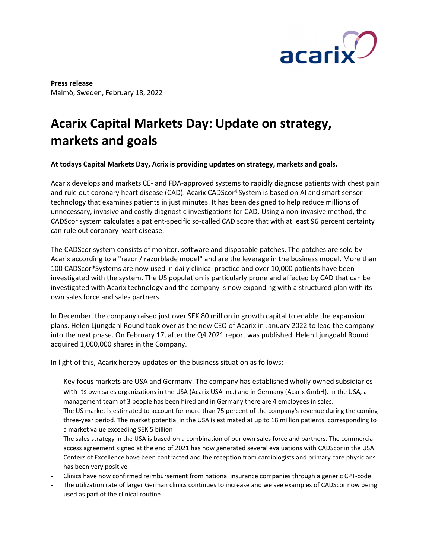

Press release Malmö, Sweden, February 18, 2022

## Acarix Capital Markets Day: Update on strategy, markets and goals

## At todays Capital Markets Day, Acrix is providing updates on strategy, markets and goals.

Acarix develops and markets CE- and FDA-approved systems to rapidly diagnose patients with chest pain and rule out coronary heart disease (CAD). Acarix CADScor®System is based on AI and smart sensor technology that examines patients in just minutes. It has been designed to help reduce millions of unnecessary, invasive and costly diagnostic investigations for CAD. Using a non-invasive method, the CADScor system calculates a patient-specific so-called CAD score that with at least 96 percent certainty can rule out coronary heart disease.

The CADScor system consists of monitor, software and disposable patches. The patches are sold by Acarix according to a "razor / razorblade model" and are the leverage in the business model. More than 100 CADScor®Systems are now used in daily clinical practice and over 10,000 patients have been investigated with the system. The US population is particularly prone and affected by CAD that can be investigated with Acarix technology and the company is now expanding with a structured plan with its own sales force and sales partners.

In December, the company raised just over SEK 80 million in growth capital to enable the expansion plans. Helen Ljungdahl Round took over as the new CEO of Acarix in January 2022 to lead the company into the next phase. On February 17, after the Q4 2021 report was published, Helen Ljungdahl Round acquired 1,000,000 shares in the Company.

In light of this, Acarix hereby updates on the business situation as follows:

- Key focus markets are USA and Germany. The company has established wholly owned subsidiaries with its own sales organizations in the USA (Acarix USA Inc.) and in Germany (Acarix GmbH). In the USA, a management team of 3 people has been hired and in Germany there are 4 employees in sales.
- The US market is estimated to account for more than 75 percent of the company's revenue during the coming three-year period. The market potential in the USA is estimated at up to 18 million patients, corresponding to a market value exceeding SEK 5 billion
- The sales strategy in the USA is based on a combination of our own sales force and partners. The commercial access agreement signed at the end of 2021 has now generated several evaluations with CADScor in the USA. Centers of Excellence have been contracted and the reception from cardiologists and primary care physicians has been very positive.
- Clinics have now confirmed reimbursement from national insurance companies through a generic CPT-code.
- The utilization rate of larger German clinics continues to increase and we see examples of CADScor now being used as part of the clinical routine.